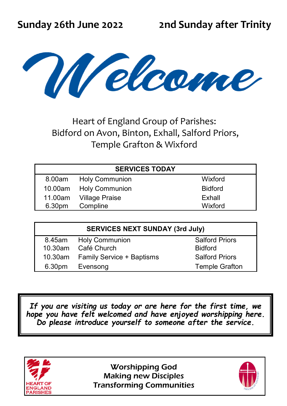

Heart of England Group of Parishes: Bidford on Avon, Binton, Exhall, Salford Priors, Temple Grafton & Wixford

| <b>SERVICES TODAY</b> |                        |                |  |  |  |  |
|-----------------------|------------------------|----------------|--|--|--|--|
| 8.00am                | Holy Communion         | Wixford        |  |  |  |  |
|                       | 10.00am Holy Communion | <b>Bidford</b> |  |  |  |  |
| 11.00am               | Village Praise         | Exhall         |  |  |  |  |
| 6.30pm                | Compline               | Wixford        |  |  |  |  |
|                       |                        |                |  |  |  |  |

| <b>SERVICES NEXT SUNDAY (3rd July)</b> |                                  |                       |  |  |  |
|----------------------------------------|----------------------------------|-----------------------|--|--|--|
| 8.45am                                 | <b>Holy Communion</b>            | <b>Salford Priors</b> |  |  |  |
|                                        | 10.30am Café Church              | <b>Bidford</b>        |  |  |  |
| 10.30am                                | <b>Family Service + Baptisms</b> | <b>Salford Priors</b> |  |  |  |
| 6.30pm                                 | Evensong                         | <b>Temple Grafton</b> |  |  |  |
|                                        |                                  |                       |  |  |  |

*If you are visiting us today or are here for the first time, we hope you have felt welcomed and have enjoyed worshipping here. Do please introduce yourself to someone after the service.* 



Worshipping God Making new Disciples Transforming Communities

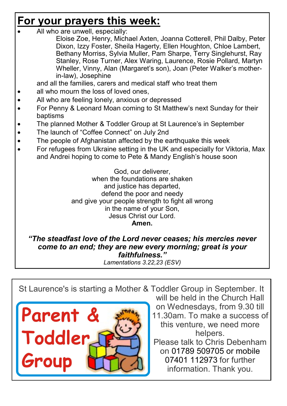## **For your prayers this week:**

All who are unwell, especially:

Eloise Zoe, Henry, Michael Axten, Joanna Cotterell, Phil Dalby, Peter Dixon, Izzy Foster, Sheila Hagerty, Ellen Houghton, Chloe Lambert, Bethany Morriss, Sylvia Muller, Pam Sharpe, Terry Singlehurst, Ray Stanley, Rose Turner, Alex Waring, Laurence, Rosie Pollard, Martyn Wheller, Vinny, Alan (Margaret's son), Joan (Peter Walker's motherin-law), Josephine

and all the families, carers and medical staff who treat them

- all who mourn the loss of loved ones,
- All who are feeling lonely, anxious or depressed
- For Penny & Leonard Moan coming to St Matthew's next Sunday for their baptisms
- The planned Mother & Toddler Group at St Laurence's in September
- The launch of "Coffee Connect" on July 2nd
- The people of Afghanistan affected by the earthquake this week
- For refugees from Ukraine setting in the UK and especially for Viktoria, Max and Andrei hoping to come to Pete & Mandy English's house soon

God, our deliverer, when the foundations are shaken and justice has departed, defend the poor and needy and give your people strength to fight all wrong in the name of your Son, Jesus Christ our Lord. **Amen.** 

*"The steadfast love of the Lord never ceases; his mercies never come to an end; they are new every morning; great is your faithfulness."* 

*Lamentations 3.22,23 (ESV)* 

St Laurence's is starting a Mother & Toddler Group in September. It



will be held in the Church Hall on Wednesdays, from 9.30 till

11.30am. To make a success of this venture, we need more helpers.

Please talk to Chris Debenham on 01789 509705 or mobile 07401 112973 for further information. Thank you.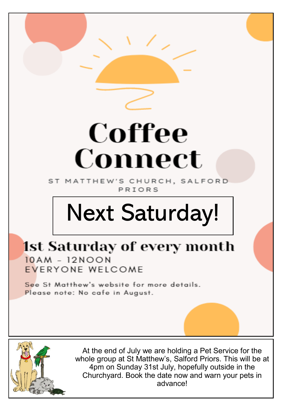## Coffee Connect

ST MATTHEW'S CHURCH, SALFORD PRIORS

## Next Saturday!

## **1st Saturday of every month**  $10AM - 12NON$

EVERYONE WELCOME

See St Matthew's website for more details. Please note: No cafe in August.



At the end of July we are holding a Pet Service for the whole group at St Matthew's, Salford Priors. This will be at 4pm on Sunday 31st July, hopefully outside in the Churchyard. Book the date now and warn your pets in advance!